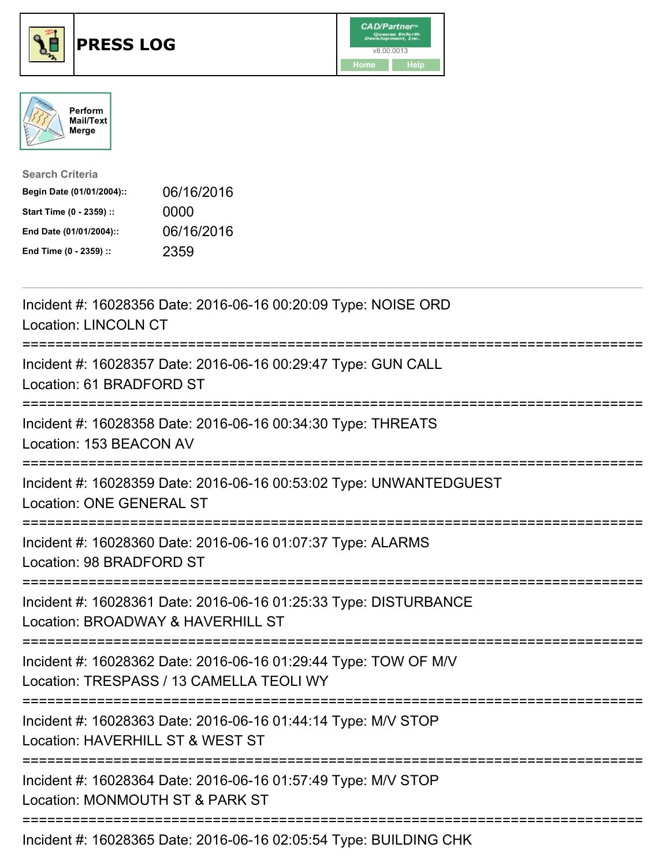





| <b>Search Criteria</b>    |            |
|---------------------------|------------|
| Begin Date (01/01/2004):: | 06/16/2016 |
| Start Time (0 - 2359) ::  | 0000       |
| End Date (01/01/2004)::   | 06/16/2016 |
| End Time (0 - 2359) ::    | 2359       |

| Incident #: 16028356 Date: 2016-06-16 00:20:09 Type: NOISE ORD<br><b>Location: LINCOLN CT</b>                                             |
|-------------------------------------------------------------------------------------------------------------------------------------------|
| Incident #: 16028357 Date: 2016-06-16 00:29:47 Type: GUN CALL<br>Location: 61 BRADFORD ST                                                 |
| Incident #: 16028358 Date: 2016-06-16 00:34:30 Type: THREATS<br>Location: 153 BEACON AV                                                   |
| Incident #: 16028359 Date: 2016-06-16 00:53:02 Type: UNWANTEDGUEST<br><b>Location: ONE GENERAL ST</b><br>===================              |
| Incident #: 16028360 Date: 2016-06-16 01:07:37 Type: ALARMS<br>Location: 98 BRADFORD ST                                                   |
| Incident #: 16028361 Date: 2016-06-16 01:25:33 Type: DISTURBANCE<br>Location: BROADWAY & HAVERHILL ST<br>:========================        |
| Incident #: 16028362 Date: 2016-06-16 01:29:44 Type: TOW OF M/V<br>Location: TRESPASS / 13 CAMELLA TEOLI WY<br>-------------------------- |
| Incident #: 16028363 Date: 2016-06-16 01:44:14 Type: M/V STOP<br>Location: HAVERHILL ST & WEST ST                                         |
| =======================<br>Incident #: 16028364 Date: 2016-06-16 01:57:49 Type: M/V STOP<br>Location: MONMOUTH ST & PARK ST               |
| Incident #: 16028365 Date: 2016-06-16 02:05:54 Type: BUILDING CHK                                                                         |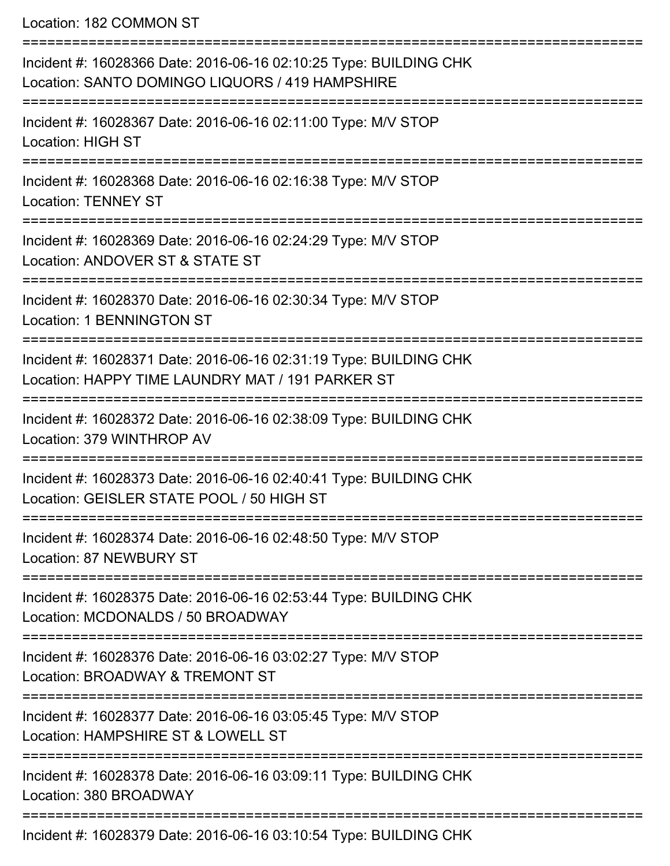Location: 182 COMMON ST

| Incident #: 16028366 Date: 2016-06-16 02:10:25 Type: BUILDING CHK<br>Location: SANTO DOMINGO LIQUORS / 419 HAMPSHIRE  |
|-----------------------------------------------------------------------------------------------------------------------|
| Incident #: 16028367 Date: 2016-06-16 02:11:00 Type: M/V STOP<br><b>Location: HIGH ST</b>                             |
| Incident #: 16028368 Date: 2016-06-16 02:16:38 Type: M/V STOP<br><b>Location: TENNEY ST</b>                           |
| Incident #: 16028369 Date: 2016-06-16 02:24:29 Type: M/V STOP<br>Location: ANDOVER ST & STATE ST                      |
| Incident #: 16028370 Date: 2016-06-16 02:30:34 Type: M/V STOP<br><b>Location: 1 BENNINGTON ST</b>                     |
| Incident #: 16028371 Date: 2016-06-16 02:31:19 Type: BUILDING CHK<br>Location: HAPPY TIME LAUNDRY MAT / 191 PARKER ST |
| Incident #: 16028372 Date: 2016-06-16 02:38:09 Type: BUILDING CHK<br>Location: 379 WINTHROP AV                        |
| Incident #: 16028373 Date: 2016-06-16 02:40:41 Type: BUILDING CHK<br>Location: GEISLER STATE POOL / 50 HIGH ST        |
| Incident #: 16028374 Date: 2016-06-16 02:48:50 Type: M/V STOP<br><b>Location: 87 NEWBURY ST</b>                       |
| Incident #: 16028375 Date: 2016-06-16 02:53:44 Type: BUILDING CHK<br>Location: MCDONALDS / 50 BROADWAY                |
| Incident #: 16028376 Date: 2016-06-16 03:02:27 Type: M/V STOP<br>Location: BROADWAY & TREMONT ST                      |
| Incident #: 16028377 Date: 2016-06-16 03:05:45 Type: M/V STOP<br>Location: HAMPSHIRE ST & LOWELL ST                   |
| Incident #: 16028378 Date: 2016-06-16 03:09:11 Type: BUILDING CHK<br>Location: 380 BROADWAY                           |
| Incident #: 16028379 Date: 2016-06-16 03:10:54 Type: BUILDING CHK                                                     |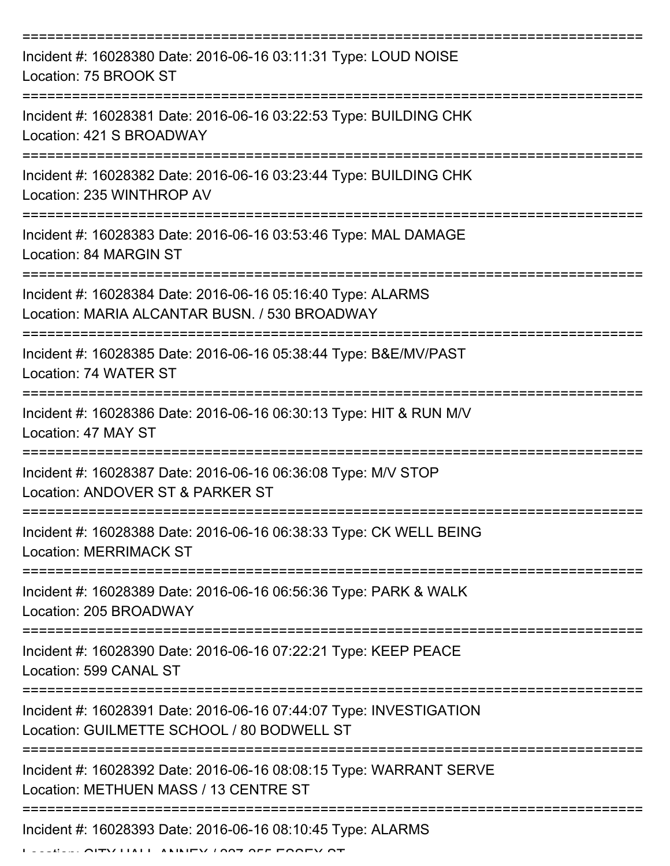| Incident #: 16028380 Date: 2016-06-16 03:11:31 Type: LOUD NOISE<br>Location: 75 BROOK ST                         |
|------------------------------------------------------------------------------------------------------------------|
| Incident #: 16028381 Date: 2016-06-16 03:22:53 Type: BUILDING CHK<br>Location: 421 S BROADWAY                    |
| Incident #: 16028382 Date: 2016-06-16 03:23:44 Type: BUILDING CHK<br>Location: 235 WINTHROP AV                   |
| Incident #: 16028383 Date: 2016-06-16 03:53:46 Type: MAL DAMAGE<br>Location: 84 MARGIN ST                        |
| Incident #: 16028384 Date: 2016-06-16 05:16:40 Type: ALARMS<br>Location: MARIA ALCANTAR BUSN. / 530 BROADWAY     |
| Incident #: 16028385 Date: 2016-06-16 05:38:44 Type: B&E/MV/PAST<br>Location: 74 WATER ST                        |
| Incident #: 16028386 Date: 2016-06-16 06:30:13 Type: HIT & RUN M/V<br>Location: 47 MAY ST                        |
| Incident #: 16028387 Date: 2016-06-16 06:36:08 Type: M/V STOP<br>Location: ANDOVER ST & PARKER ST                |
| Incident #: 16028388 Date: 2016-06-16 06:38:33 Type: CK WELL BEING<br><b>Location: MERRIMACK ST</b>              |
| Incident #: 16028389 Date: 2016-06-16 06:56:36 Type: PARK & WALK<br>Location: 205 BROADWAY                       |
| Incident #: 16028390 Date: 2016-06-16 07:22:21 Type: KEEP PEACE<br>Location: 599 CANAL ST                        |
| Incident #: 16028391 Date: 2016-06-16 07:44:07 Type: INVESTIGATION<br>Location: GUILMETTE SCHOOL / 80 BODWELL ST |
| Incident #: 16028392 Date: 2016-06-16 08:08:15 Type: WARRANT SERVE<br>Location: METHUEN MASS / 13 CENTRE ST      |
| Incident #: 16028393 Date: 2016-06-16 08:10:45 Type: ALARMS                                                      |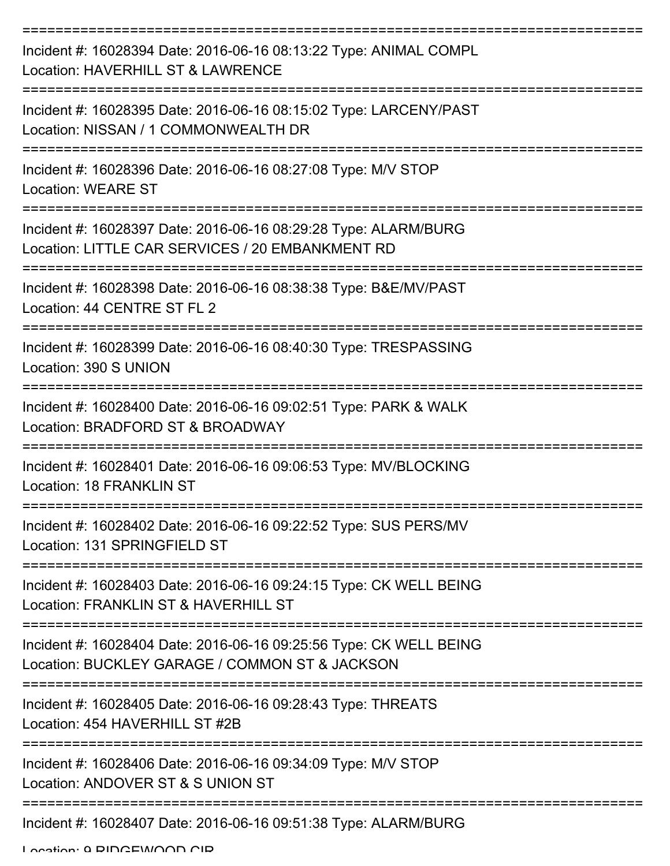| Incident #: 16028394 Date: 2016-06-16 08:13:22 Type: ANIMAL COMPL<br>Location: HAVERHILL ST & LAWRENCE               |
|----------------------------------------------------------------------------------------------------------------------|
| Incident #: 16028395 Date: 2016-06-16 08:15:02 Type: LARCENY/PAST<br>Location: NISSAN / 1 COMMONWEALTH DR            |
| Incident #: 16028396 Date: 2016-06-16 08:27:08 Type: M/V STOP<br><b>Location: WEARE ST</b>                           |
| Incident #: 16028397 Date: 2016-06-16 08:29:28 Type: ALARM/BURG<br>Location: LITTLE CAR SERVICES / 20 EMBANKMENT RD  |
| Incident #: 16028398 Date: 2016-06-16 08:38:38 Type: B&E/MV/PAST<br>Location: 44 CENTRE ST FL 2                      |
| Incident #: 16028399 Date: 2016-06-16 08:40:30 Type: TRESPASSING<br>Location: 390 S UNION                            |
| Incident #: 16028400 Date: 2016-06-16 09:02:51 Type: PARK & WALK<br>Location: BRADFORD ST & BROADWAY                 |
| Incident #: 16028401 Date: 2016-06-16 09:06:53 Type: MV/BLOCKING<br><b>Location: 18 FRANKLIN ST</b>                  |
| Incident #: 16028402 Date: 2016-06-16 09:22:52 Type: SUS PERS/MV<br>Location: 131 SPRINGFIELD ST                     |
| Incident #: 16028403 Date: 2016-06-16 09:24:15 Type: CK WELL BEING<br>Location: FRANKLIN ST & HAVERHILL ST           |
| Incident #: 16028404 Date: 2016-06-16 09:25:56 Type: CK WELL BEING<br>Location: BUCKLEY GARAGE / COMMON ST & JACKSON |
| Incident #: 16028405 Date: 2016-06-16 09:28:43 Type: THREATS<br>Location: 454 HAVERHILL ST #2B                       |
| Incident #: 16028406 Date: 2016-06-16 09:34:09 Type: M/V STOP<br>Location: ANDOVER ST & S UNION ST                   |
| Incident #: 16028407 Date: 2016-06-16 09:51:38 Type: ALARM/BURG                                                      |

Location: A DIDCEWOOD CID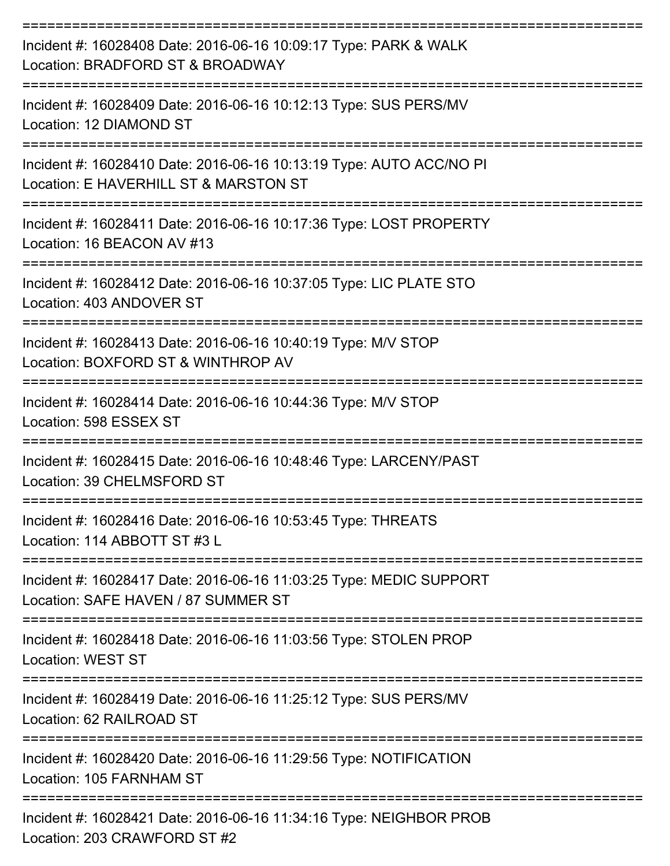| Incident #: 16028408 Date: 2016-06-16 10:09:17 Type: PARK & WALK<br>Location: BRADFORD ST & BROADWAY                              |
|-----------------------------------------------------------------------------------------------------------------------------------|
| Incident #: 16028409 Date: 2016-06-16 10:12:13 Type: SUS PERS/MV<br>Location: 12 DIAMOND ST                                       |
| Incident #: 16028410 Date: 2016-06-16 10:13:19 Type: AUTO ACC/NO PI<br>Location: E HAVERHILL ST & MARSTON ST<br>----------------- |
| Incident #: 16028411 Date: 2016-06-16 10:17:36 Type: LOST PROPERTY<br>Location: 16 BEACON AV #13                                  |
| Incident #: 16028412 Date: 2016-06-16 10:37:05 Type: LIC PLATE STO<br>Location: 403 ANDOVER ST                                    |
| Incident #: 16028413 Date: 2016-06-16 10:40:19 Type: M/V STOP<br>Location: BOXFORD ST & WINTHROP AV                               |
| Incident #: 16028414 Date: 2016-06-16 10:44:36 Type: M/V STOP<br>Location: 598 ESSEX ST                                           |
| Incident #: 16028415 Date: 2016-06-16 10:48:46 Type: LARCENY/PAST<br>Location: 39 CHELMSFORD ST                                   |
| Incident #: 16028416 Date: 2016-06-16 10:53:45 Type: THREATS<br>Location: 114 ABBOTT ST #3 L                                      |
| Incident #: 16028417 Date: 2016-06-16 11:03:25 Type: MEDIC SUPPORT<br>Location: SAFE HAVEN / 87 SUMMER ST                         |
| Incident #: 16028418 Date: 2016-06-16 11:03:56 Type: STOLEN PROP<br><b>Location: WEST ST</b>                                      |
| Incident #: 16028419 Date: 2016-06-16 11:25:12 Type: SUS PERS/MV<br>Location: 62 RAILROAD ST                                      |
| Incident #: 16028420 Date: 2016-06-16 11:29:56 Type: NOTIFICATION<br>Location: 105 FARNHAM ST                                     |
| Incident #: 16028421 Date: 2016-06-16 11:34:16 Type: NEIGHBOR PROB<br>Location: 203 CRAWFORD ST #2                                |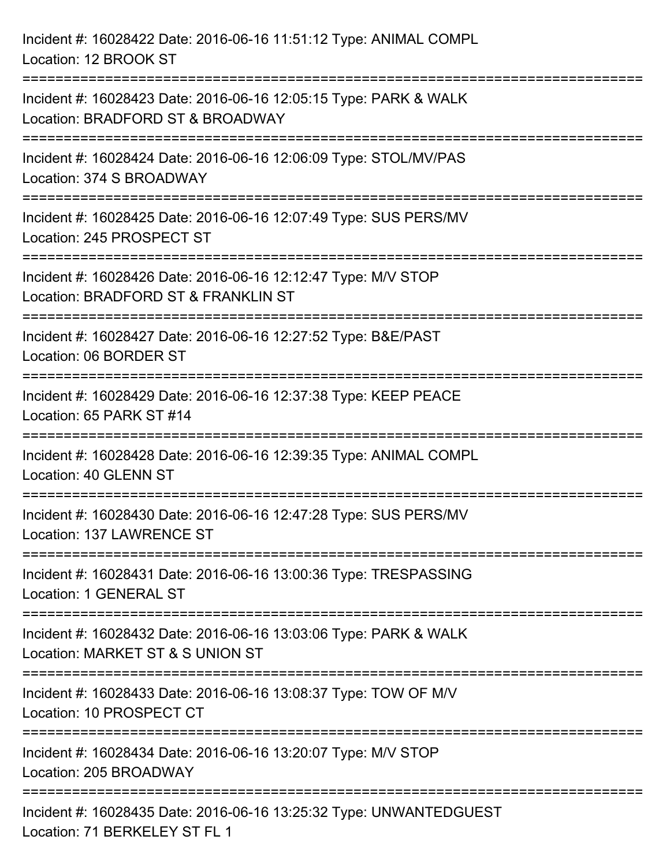| Incident #: 16028422 Date: 2016-06-16 11:51:12 Type: ANIMAL COMPL<br>Location: 12 BROOK ST                                      |
|---------------------------------------------------------------------------------------------------------------------------------|
| Incident #: 16028423 Date: 2016-06-16 12:05:15 Type: PARK & WALK<br>Location: BRADFORD ST & BROADWAY                            |
| Incident #: 16028424 Date: 2016-06-16 12:06:09 Type: STOL/MV/PAS<br>Location: 374 S BROADWAY<br>=============================== |
| Incident #: 16028425 Date: 2016-06-16 12:07:49 Type: SUS PERS/MV<br>Location: 245 PROSPECT ST                                   |
| Incident #: 16028426 Date: 2016-06-16 12:12:47 Type: M/V STOP<br>Location: BRADFORD ST & FRANKLIN ST                            |
| Incident #: 16028427 Date: 2016-06-16 12:27:52 Type: B&E/PAST<br>Location: 06 BORDER ST                                         |
| Incident #: 16028429 Date: 2016-06-16 12:37:38 Type: KEEP PEACE<br>Location: 65 PARK ST #14                                     |
| Incident #: 16028428 Date: 2016-06-16 12:39:35 Type: ANIMAL COMPL<br>Location: 40 GLENN ST                                      |
| Incident #: 16028430 Date: 2016-06-16 12:47:28 Type: SUS PERS/MV<br>Location: 137 LAWRENCE ST                                   |
| Incident #: 16028431 Date: 2016-06-16 13:00:36 Type: TRESPASSING<br>Location: 1 GENERAL ST                                      |
| Incident #: 16028432 Date: 2016-06-16 13:03:06 Type: PARK & WALK<br>Location: MARKET ST & S UNION ST                            |
| Incident #: 16028433 Date: 2016-06-16 13:08:37 Type: TOW OF M/V<br>Location: 10 PROSPECT CT                                     |
| Incident #: 16028434 Date: 2016-06-16 13:20:07 Type: M/V STOP<br>Location: 205 BROADWAY                                         |
| Incident #: 16028435 Date: 2016-06-16 13:25:32 Type: UNWANTEDGUEST<br>Location: 71 BERKELEY ST FL 1                             |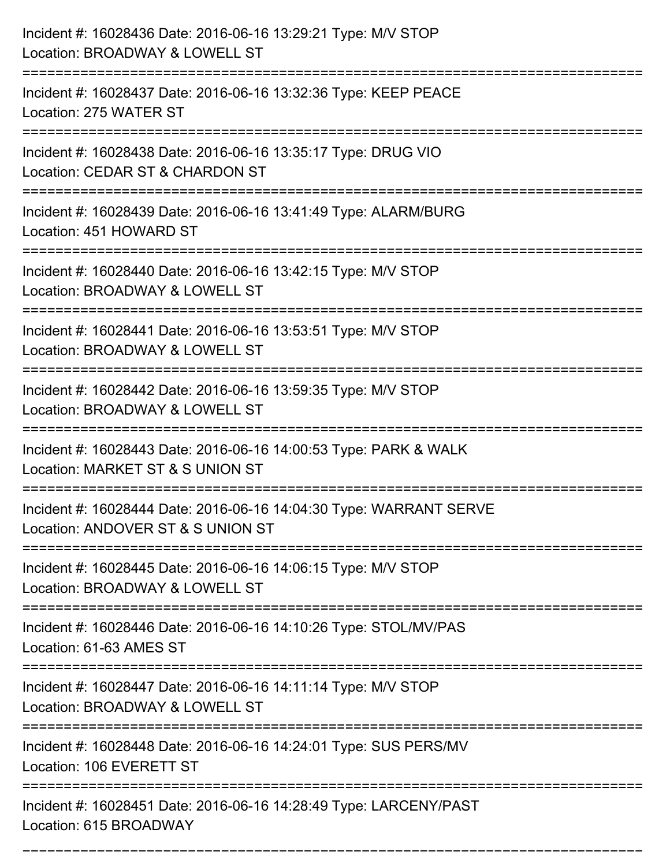| Incident #: 16028436 Date: 2016-06-16 13:29:21 Type: M/V STOP<br>Location: BROADWAY & LOWELL ST                                  |
|----------------------------------------------------------------------------------------------------------------------------------|
| Incident #: 16028437 Date: 2016-06-16 13:32:36 Type: KEEP PEACE<br>Location: 275 WATER ST                                        |
| Incident #: 16028438 Date: 2016-06-16 13:35:17 Type: DRUG VIO<br>Location: CEDAR ST & CHARDON ST                                 |
| Incident #: 16028439 Date: 2016-06-16 13:41:49 Type: ALARM/BURG<br>Location: 451 HOWARD ST                                       |
| Incident #: 16028440 Date: 2016-06-16 13:42:15 Type: M/V STOP<br>Location: BROADWAY & LOWELL ST<br>:=======================      |
| Incident #: 16028441 Date: 2016-06-16 13:53:51 Type: M/V STOP<br>Location: BROADWAY & LOWELL ST                                  |
| Incident #: 16028442 Date: 2016-06-16 13:59:35 Type: M/V STOP<br>Location: BROADWAY & LOWELL ST                                  |
| Incident #: 16028443 Date: 2016-06-16 14:00:53 Type: PARK & WALK<br>Location: MARKET ST & S UNION ST                             |
| Incident #: 16028444 Date: 2016-06-16 14:04:30 Type: WARRANT SERVE<br>Location: ANDOVER ST & S UNION ST                          |
| Incident #: 16028445 Date: 2016-06-16 14:06:15 Type: M/V STOP<br>Location: BROADWAY & LOWELL ST<br>============================= |
| Incident #: 16028446 Date: 2016-06-16 14:10:26 Type: STOL/MV/PAS<br>Location: 61-63 AMES ST                                      |
| Incident #: 16028447 Date: 2016-06-16 14:11:14 Type: M/V STOP<br>Location: BROADWAY & LOWELL ST                                  |
| Incident #: 16028448 Date: 2016-06-16 14:24:01 Type: SUS PERS/MV<br>Location: 106 EVERETT ST<br>=================                |
| Incident #: 16028451 Date: 2016-06-16 14:28:49 Type: LARCENY/PAST<br>Location: 615 BROADWAY                                      |

===========================================================================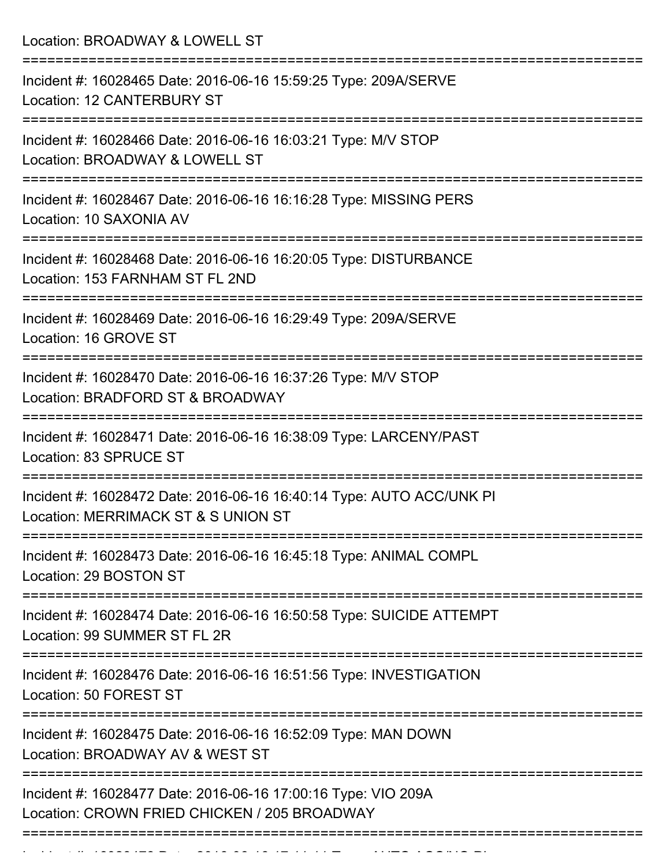Location: BROADWAY & LOWELL ST =========================================================================== Incident #: 16028465 Date: 2016-06-16 15:59:25 Type: 209A/SERVE Location: 12 CANTERBURY ST =========================================================================== Incident #: 16028466 Date: 2016-06-16 16:03:21 Type: M/V STOP Location: BROADWAY & LOWELL ST =========================================================================== Incident #: 16028467 Date: 2016-06-16 16:16:28 Type: MISSING PERS Location: 10 SAXONIA AV =========================================================================== Incident #: 16028468 Date: 2016-06-16 16:20:05 Type: DISTURBANCE Location: 153 FARNHAM ST FL 2ND =========================================================================== Incident #: 16028469 Date: 2016-06-16 16:29:49 Type: 209A/SERVE Location: 16 GROVE ST =========================================================================== Incident #: 16028470 Date: 2016-06-16 16:37:26 Type: M/V STOP Location: BRADFORD ST & BROADWAY =========================================================================== Incident #: 16028471 Date: 2016-06-16 16:38:09 Type: LARCENY/PAST Location: 83 SPRUCE ST =========================================================================== Incident #: 16028472 Date: 2016-06-16 16:40:14 Type: AUTO ACC/UNK PI Location: MERRIMACK ST & S UNION ST =========================================================================== Incident #: 16028473 Date: 2016-06-16 16:45:18 Type: ANIMAL COMPL Location: 29 BOSTON ST =========================================================================== Incident #: 16028474 Date: 2016-06-16 16:50:58 Type: SUICIDE ATTEMPT Location: 99 SUMMER ST FL 2R =========================================================================== Incident #: 16028476 Date: 2016-06-16 16:51:56 Type: INVESTIGATION Location: 50 FOREST ST =========================================================================== Incident #: 16028475 Date: 2016-06-16 16:52:09 Type: MAN DOWN Location: BROADWAY AV & WEST ST =========================================================================== Incident #: 16028477 Date: 2016-06-16 17:00:16 Type: VIO 209A Location: CROWN FRIED CHICKEN / 205 BROADWAY ===========================================================================

Incident #: 16028 Date: 2016 06 16 17:11:11 Type: 2016 06 16 17:11:11 Type: AUTO ACC/NO.<br>.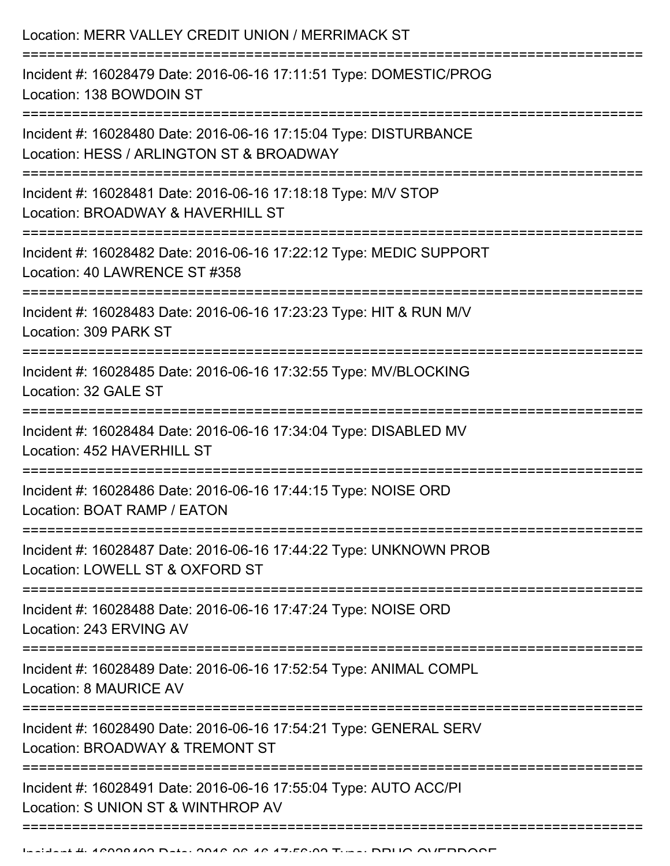| Incident #: 16028479 Date: 2016-06-16 17:11:51 Type: DOMESTIC/PROG<br>Location: 138 BOWDOIN ST<br>Incident #: 16028480 Date: 2016-06-16 17:15:04 Type: DISTURBANCE<br>Location: HESS / ARLINGTON ST & BROADWAY<br>Incident #: 16028481 Date: 2016-06-16 17:18:18 Type: M/V STOP<br>Location: BROADWAY & HAVERHILL ST<br>====================<br>Incident #: 16028482 Date: 2016-06-16 17:22:12 Type: MEDIC SUPPORT<br>Location: 40 LAWRENCE ST #358<br>Incident #: 16028483 Date: 2016-06-16 17:23:23 Type: HIT & RUN M/V<br>Location: 309 PARK ST<br>Incident #: 16028485 Date: 2016-06-16 17:32:55 Type: MV/BLOCKING<br>Location: 32 GALE ST<br>Incident #: 16028484 Date: 2016-06-16 17:34:04 Type: DISABLED MV<br>Location: 452 HAVERHILL ST<br>Incident #: 16028486 Date: 2016-06-16 17:44:15 Type: NOISE ORD<br>Location: BOAT RAMP / EATON<br>Incident #: 16028487 Date: 2016-06-16 17:44:22 Type: UNKNOWN PROB<br>Location: LOWELL ST & OXFORD ST<br>Incident #: 16028488 Date: 2016-06-16 17:47:24 Type: NOISE ORD<br>Location: 243 ERVING AV<br>================================<br>Incident #: 16028489 Date: 2016-06-16 17:52:54 Type: ANIMAL COMPL<br>Location: 8 MAURICE AV<br>Incident #: 16028490 Date: 2016-06-16 17:54:21 Type: GENERAL SERV<br>Location: BROADWAY & TREMONT ST<br>Incident #: 16028491 Date: 2016-06-16 17:55:04 Type: AUTO ACC/PI<br>Location: S UNION ST & WINTHROP AV | Location: MERR VALLEY CREDIT UNION / MERRIMACK ST |
|-------------------------------------------------------------------------------------------------------------------------------------------------------------------------------------------------------------------------------------------------------------------------------------------------------------------------------------------------------------------------------------------------------------------------------------------------------------------------------------------------------------------------------------------------------------------------------------------------------------------------------------------------------------------------------------------------------------------------------------------------------------------------------------------------------------------------------------------------------------------------------------------------------------------------------------------------------------------------------------------------------------------------------------------------------------------------------------------------------------------------------------------------------------------------------------------------------------------------------------------------------------------------------------------------------------------------------------------------------------------------------------------------------------|---------------------------------------------------|
|                                                                                                                                                                                                                                                                                                                                                                                                                                                                                                                                                                                                                                                                                                                                                                                                                                                                                                                                                                                                                                                                                                                                                                                                                                                                                                                                                                                                             |                                                   |
|                                                                                                                                                                                                                                                                                                                                                                                                                                                                                                                                                                                                                                                                                                                                                                                                                                                                                                                                                                                                                                                                                                                                                                                                                                                                                                                                                                                                             |                                                   |
|                                                                                                                                                                                                                                                                                                                                                                                                                                                                                                                                                                                                                                                                                                                                                                                                                                                                                                                                                                                                                                                                                                                                                                                                                                                                                                                                                                                                             |                                                   |
|                                                                                                                                                                                                                                                                                                                                                                                                                                                                                                                                                                                                                                                                                                                                                                                                                                                                                                                                                                                                                                                                                                                                                                                                                                                                                                                                                                                                             |                                                   |
|                                                                                                                                                                                                                                                                                                                                                                                                                                                                                                                                                                                                                                                                                                                                                                                                                                                                                                                                                                                                                                                                                                                                                                                                                                                                                                                                                                                                             |                                                   |
|                                                                                                                                                                                                                                                                                                                                                                                                                                                                                                                                                                                                                                                                                                                                                                                                                                                                                                                                                                                                                                                                                                                                                                                                                                                                                                                                                                                                             |                                                   |
|                                                                                                                                                                                                                                                                                                                                                                                                                                                                                                                                                                                                                                                                                                                                                                                                                                                                                                                                                                                                                                                                                                                                                                                                                                                                                                                                                                                                             |                                                   |
|                                                                                                                                                                                                                                                                                                                                                                                                                                                                                                                                                                                                                                                                                                                                                                                                                                                                                                                                                                                                                                                                                                                                                                                                                                                                                                                                                                                                             |                                                   |
|                                                                                                                                                                                                                                                                                                                                                                                                                                                                                                                                                                                                                                                                                                                                                                                                                                                                                                                                                                                                                                                                                                                                                                                                                                                                                                                                                                                                             |                                                   |
|                                                                                                                                                                                                                                                                                                                                                                                                                                                                                                                                                                                                                                                                                                                                                                                                                                                                                                                                                                                                                                                                                                                                                                                                                                                                                                                                                                                                             |                                                   |
|                                                                                                                                                                                                                                                                                                                                                                                                                                                                                                                                                                                                                                                                                                                                                                                                                                                                                                                                                                                                                                                                                                                                                                                                                                                                                                                                                                                                             |                                                   |
|                                                                                                                                                                                                                                                                                                                                                                                                                                                                                                                                                                                                                                                                                                                                                                                                                                                                                                                                                                                                                                                                                                                                                                                                                                                                                                                                                                                                             |                                                   |
|                                                                                                                                                                                                                                                                                                                                                                                                                                                                                                                                                                                                                                                                                                                                                                                                                                                                                                                                                                                                                                                                                                                                                                                                                                                                                                                                                                                                             |                                                   |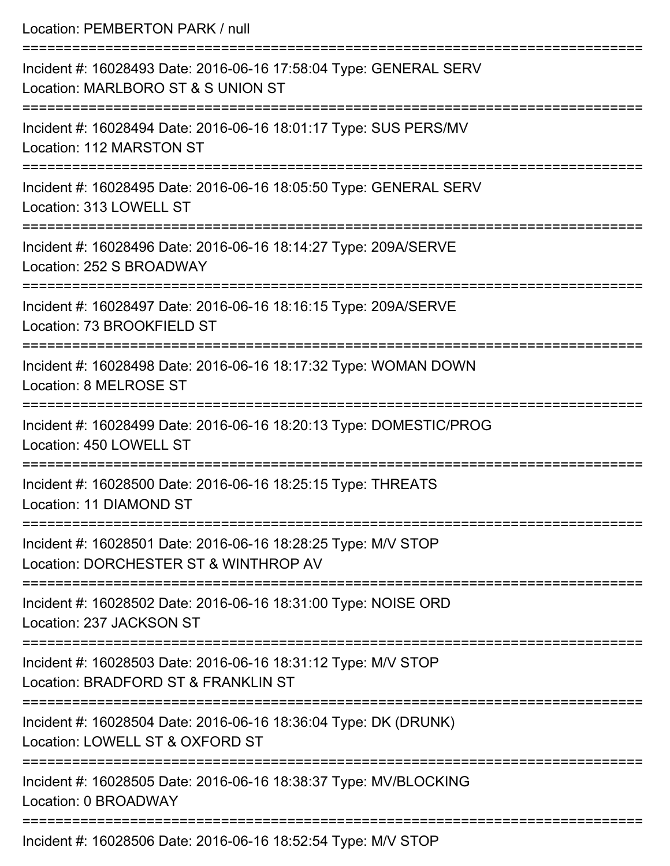| Location: PEMBERTON PARK / null                                                                                                  |
|----------------------------------------------------------------------------------------------------------------------------------|
| Incident #: 16028493 Date: 2016-06-16 17:58:04 Type: GENERAL SERV<br>Location: MARLBORO ST & S UNION ST                          |
| Incident #: 16028494 Date: 2016-06-16 18:01:17 Type: SUS PERS/MV<br>Location: 112 MARSTON ST                                     |
| Incident #: 16028495 Date: 2016-06-16 18:05:50 Type: GENERAL SERV<br>Location: 313 LOWELL ST                                     |
| Incident #: 16028496 Date: 2016-06-16 18:14:27 Type: 209A/SERVE<br>Location: 252 S BROADWAY                                      |
| Incident #: 16028497 Date: 2016-06-16 18:16:15 Type: 209A/SERVE<br>Location: 73 BROOKFIELD ST                                    |
| .----------------------------------<br>Incident #: 16028498 Date: 2016-06-16 18:17:32 Type: WOMAN DOWN<br>Location: 8 MELROSE ST |
| Incident #: 16028499 Date: 2016-06-16 18:20:13 Type: DOMESTIC/PROG<br>Location: 450 LOWELL ST                                    |
| Incident #: 16028500 Date: 2016-06-16 18:25:15 Type: THREATS<br>Location: 11 DIAMOND ST                                          |
| Incident #: 16028501 Date: 2016-06-16 18:28:25 Type: M/V STOP<br>Location: DORCHESTER ST & WINTHROP AV                           |
| Incident #: 16028502 Date: 2016-06-16 18:31:00 Type: NOISE ORD<br>Location: 237 JACKSON ST                                       |
| Incident #: 16028503 Date: 2016-06-16 18:31:12 Type: M/V STOP<br>Location: BRADFORD ST & FRANKLIN ST                             |
| Incident #: 16028504 Date: 2016-06-16 18:36:04 Type: DK (DRUNK)<br>Location: LOWELL ST & OXFORD ST                               |
| Incident #: 16028505 Date: 2016-06-16 18:38:37 Type: MV/BLOCKING<br>Location: 0 BROADWAY                                         |
|                                                                                                                                  |

Incident #: 16028506 Date: 2016-06-16 18:52:54 Type: M/V STOP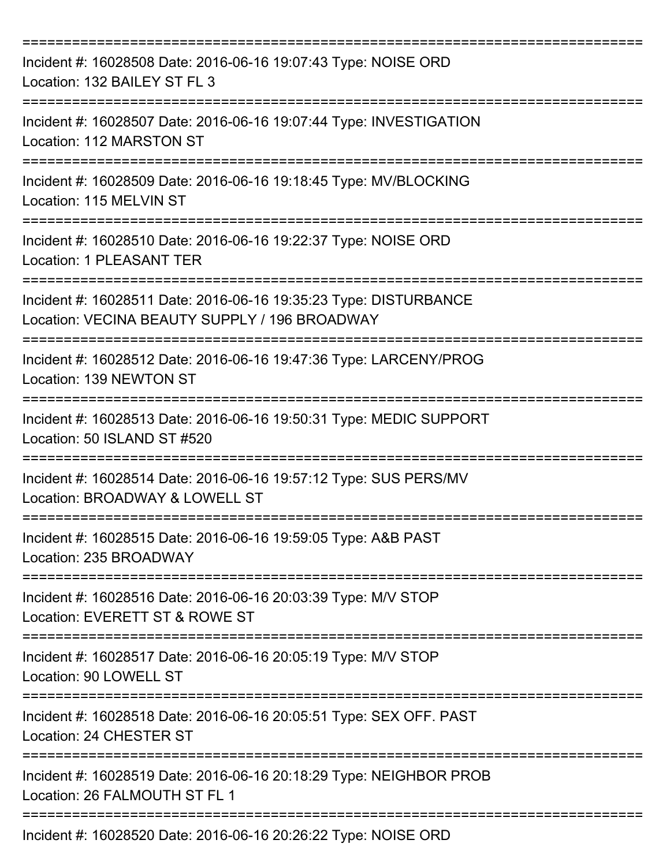| Incident #: 16028508 Date: 2016-06-16 19:07:43 Type: NOISE ORD<br>Location: 132 BAILEY ST FL 3                    |
|-------------------------------------------------------------------------------------------------------------------|
| Incident #: 16028507 Date: 2016-06-16 19:07:44 Type: INVESTIGATION<br>Location: 112 MARSTON ST                    |
| Incident #: 16028509 Date: 2016-06-16 19:18:45 Type: MV/BLOCKING<br>Location: 115 MELVIN ST                       |
| Incident #: 16028510 Date: 2016-06-16 19:22:37 Type: NOISE ORD<br>Location: 1 PLEASANT TER                        |
| Incident #: 16028511 Date: 2016-06-16 19:35:23 Type: DISTURBANCE<br>Location: VECINA BEAUTY SUPPLY / 196 BROADWAY |
| Incident #: 16028512 Date: 2016-06-16 19:47:36 Type: LARCENY/PROG<br>Location: 139 NEWTON ST                      |
| Incident #: 16028513 Date: 2016-06-16 19:50:31 Type: MEDIC SUPPORT<br>Location: 50 ISLAND ST #520                 |
| Incident #: 16028514 Date: 2016-06-16 19:57:12 Type: SUS PERS/MV<br>Location: BROADWAY & LOWELL ST                |
| Incident #: 16028515 Date: 2016-06-16 19:59:05 Type: A&B PAST<br>Location: 235 BROADWAY                           |
| Incident #: 16028516 Date: 2016-06-16 20:03:39 Type: M/V STOP<br>Location: EVERETT ST & ROWE ST                   |
| Incident #: 16028517 Date: 2016-06-16 20:05:19 Type: M/V STOP<br>Location: 90 LOWELL ST                           |
| Incident #: 16028518 Date: 2016-06-16 20:05:51 Type: SEX OFF. PAST<br>Location: 24 CHESTER ST                     |
| Incident #: 16028519 Date: 2016-06-16 20:18:29 Type: NEIGHBOR PROB<br>Location: 26 FALMOUTH ST FL 1               |
| Incident #: 16028520 Date: 2016-06-16 20:26:22 Type: NOISE ORD                                                    |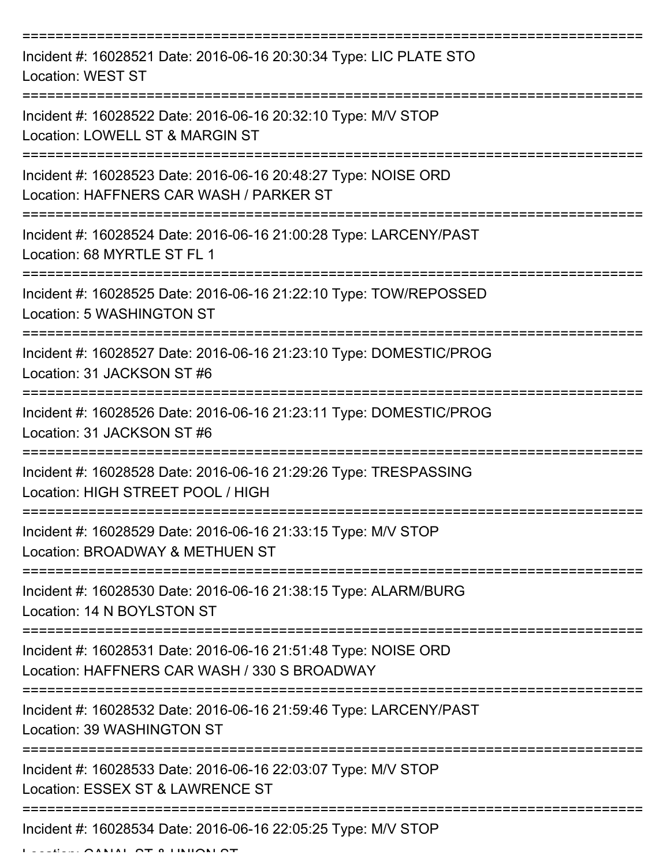| Incident #: 16028521 Date: 2016-06-16 20:30:34 Type: LIC PLATE STO<br><b>Location: WEST ST</b>                 |
|----------------------------------------------------------------------------------------------------------------|
| Incident #: 16028522 Date: 2016-06-16 20:32:10 Type: M/V STOP<br>Location: LOWELL ST & MARGIN ST               |
| Incident #: 16028523 Date: 2016-06-16 20:48:27 Type: NOISE ORD<br>Location: HAFFNERS CAR WASH / PARKER ST      |
| Incident #: 16028524 Date: 2016-06-16 21:00:28 Type: LARCENY/PAST<br>Location: 68 MYRTLE ST FL 1               |
| Incident #: 16028525 Date: 2016-06-16 21:22:10 Type: TOW/REPOSSED<br>Location: 5 WASHINGTON ST                 |
| Incident #: 16028527 Date: 2016-06-16 21:23:10 Type: DOMESTIC/PROG<br>Location: 31 JACKSON ST #6               |
| Incident #: 16028526 Date: 2016-06-16 21:23:11 Type: DOMESTIC/PROG<br>Location: 31 JACKSON ST #6<br>========== |
| Incident #: 16028528 Date: 2016-06-16 21:29:26 Type: TRESPASSING<br>Location: HIGH STREET POOL / HIGH          |
| Incident #: 16028529 Date: 2016-06-16 21:33:15 Type: M/V STOP<br>Location: BROADWAY & METHUEN ST               |
| Incident #: 16028530 Date: 2016-06-16 21:38:15 Type: ALARM/BURG<br>Location: 14 N BOYLSTON ST                  |
| Incident #: 16028531 Date: 2016-06-16 21:51:48 Type: NOISE ORD<br>Location: HAFFNERS CAR WASH / 330 S BROADWAY |
| Incident #: 16028532 Date: 2016-06-16 21:59:46 Type: LARCENY/PAST<br>Location: 39 WASHINGTON ST                |
| Incident #: 16028533 Date: 2016-06-16 22:03:07 Type: M/V STOP<br>Location: ESSEX ST & LAWRENCE ST              |
| Incident #: 16028534 Date: 2016-06-16 22:05:25 Type: M/V STOP                                                  |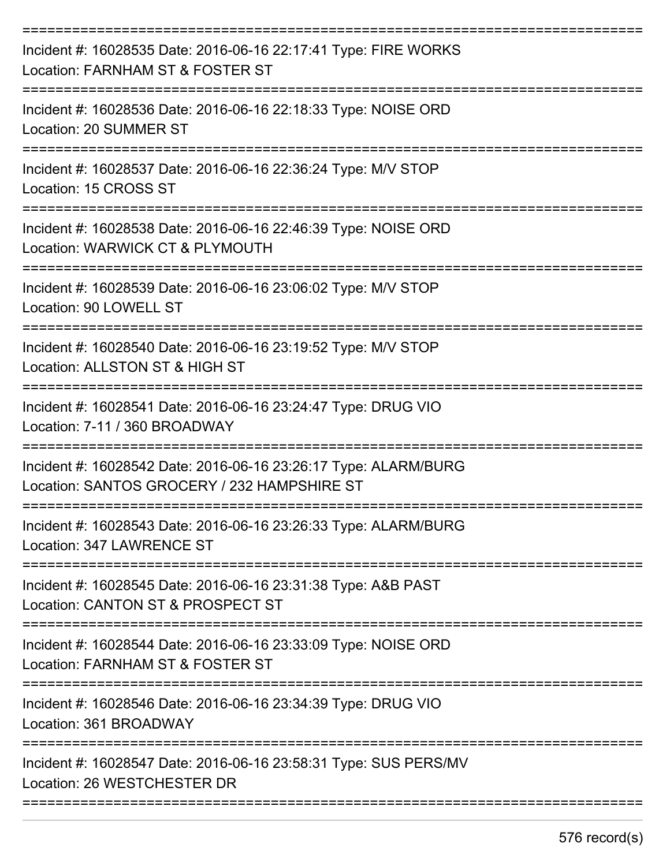| Incident #: 16028535 Date: 2016-06-16 22:17:41 Type: FIRE WORKS<br>Location: FARNHAM ST & FOSTER ST            |
|----------------------------------------------------------------------------------------------------------------|
| Incident #: 16028536 Date: 2016-06-16 22:18:33 Type: NOISE ORD<br>Location: 20 SUMMER ST                       |
| Incident #: 16028537 Date: 2016-06-16 22:36:24 Type: M/V STOP<br>Location: 15 CROSS ST                         |
| Incident #: 16028538 Date: 2016-06-16 22:46:39 Type: NOISE ORD<br>Location: WARWICK CT & PLYMOUTH              |
| Incident #: 16028539 Date: 2016-06-16 23:06:02 Type: M/V STOP<br>Location: 90 LOWELL ST                        |
| Incident #: 16028540 Date: 2016-06-16 23:19:52 Type: M/V STOP<br>Location: ALLSTON ST & HIGH ST                |
| Incident #: 16028541 Date: 2016-06-16 23:24:47 Type: DRUG VIO<br>Location: 7-11 / 360 BROADWAY                 |
| Incident #: 16028542 Date: 2016-06-16 23:26:17 Type: ALARM/BURG<br>Location: SANTOS GROCERY / 232 HAMPSHIRE ST |
| Incident #: 16028543 Date: 2016-06-16 23:26:33 Type: ALARM/BURG<br>Location: 347 LAWRENCE ST                   |
| Incident #: 16028545 Date: 2016-06-16 23:31:38 Type: A&B PAST<br>Location: CANTON ST & PROSPECT ST             |
| Incident #: 16028544 Date: 2016-06-16 23:33:09 Type: NOISE ORD<br>Location: FARNHAM ST & FOSTER ST             |
| Incident #: 16028546 Date: 2016-06-16 23:34:39 Type: DRUG VIO<br>Location: 361 BROADWAY                        |
| Incident #: 16028547 Date: 2016-06-16 23:58:31 Type: SUS PERS/MV<br>Location: 26 WESTCHESTER DR                |
|                                                                                                                |